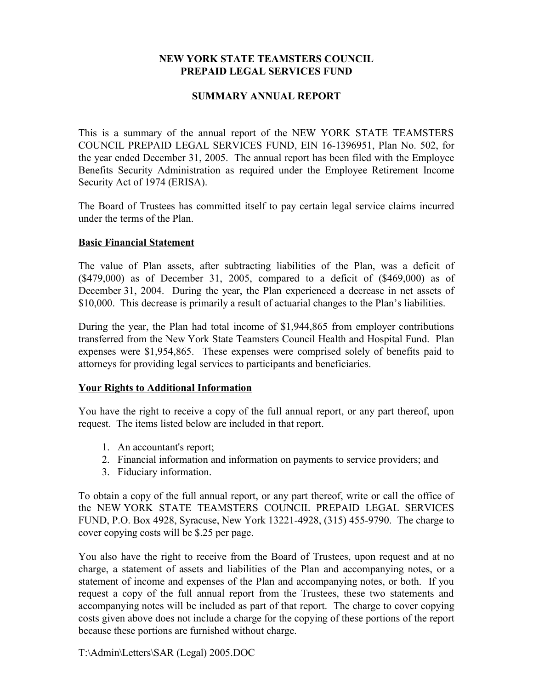## **NEW YORK STATE TEAMSTERS COUNCIL PREPAID LEGAL SERVICES FUND**

## **SUMMARY ANNUAL REPORT**

This is a summary of the annual report of the NEW YORK STATE TEAMSTERS COUNCIL PREPAID LEGAL SERVICES FUND, EIN 16-1396951, Plan No. 502, for the year ended December 31, 2005. The annual report has been filed with the Employee Benefits Security Administration as required under the Employee Retirement Income Security Act of 1974 (ERISA).

The Board of Trustees has committed itself to pay certain legal service claims incurred under the terms of the Plan.

## **Basic Financial Statement**

The value of Plan assets, after subtracting liabilities of the Plan, was a deficit of (\$479,000) as of December 31, 2005, compared to a deficit of (\$469,000) as of December 31, 2004. During the year, the Plan experienced a decrease in net assets of \$10,000. This decrease is primarily a result of actuarial changes to the Plan's liabilities.

During the year, the Plan had total income of \$1,944,865 from employer contributions transferred from the New York State Teamsters Council Health and Hospital Fund. Plan expenses were \$1,954,865. These expenses were comprised solely of benefits paid to attorneys for providing legal services to participants and beneficiaries.

## **Your Rights to Additional Information**

You have the right to receive a copy of the full annual report, or any part thereof, upon request. The items listed below are included in that report.

- 1. An accountant's report;
- 2. Financial information and information on payments to service providers; and
- 3. Fiduciary information.

To obtain a copy of the full annual report, or any part thereof, write or call the office of the NEW YORK STATE TEAMSTERS COUNCIL PREPAID LEGAL SERVICES FUND, P.O. Box 4928, Syracuse, New York 13221-4928, (315) 455-9790. The charge to cover copying costs will be \$.25 per page.

You also have the right to receive from the Board of Trustees, upon request and at no charge, a statement of assets and liabilities of the Plan and accompanying notes, or a statement of income and expenses of the Plan and accompanying notes, or both. If you request a copy of the full annual report from the Trustees, these two statements and accompanying notes will be included as part of that report. The charge to cover copying costs given above does not include a charge for the copying of these portions of the report because these portions are furnished without charge.

T:\Admin\Letters\SAR (Legal) 2005.DOC